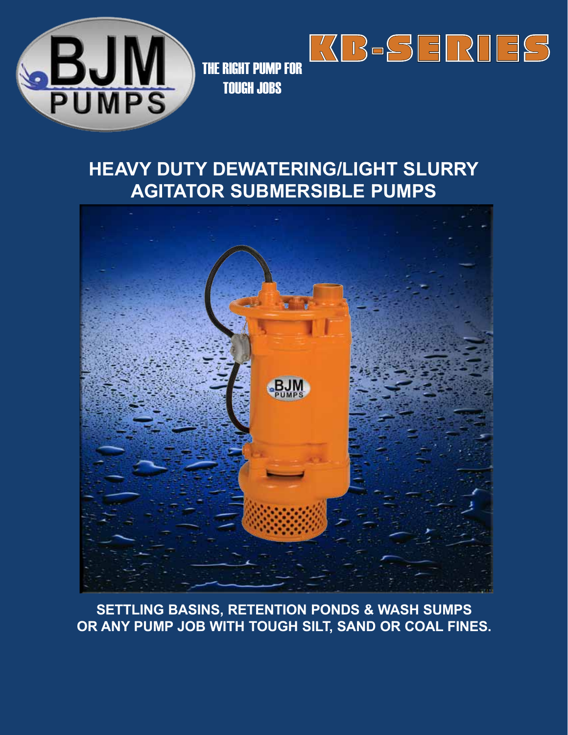



## **HEAVY DUTY DEWATERING/LIGHT SLURRY AGITATOR SUBMERSIBLE PUMPS**

KB-SERIES



**SETTLING BASINS, RETENTION PONDS & WASH SUMPS OR ANY PUMP JOB WITH TOUGH SILT, SAND OR COAL FINES.**